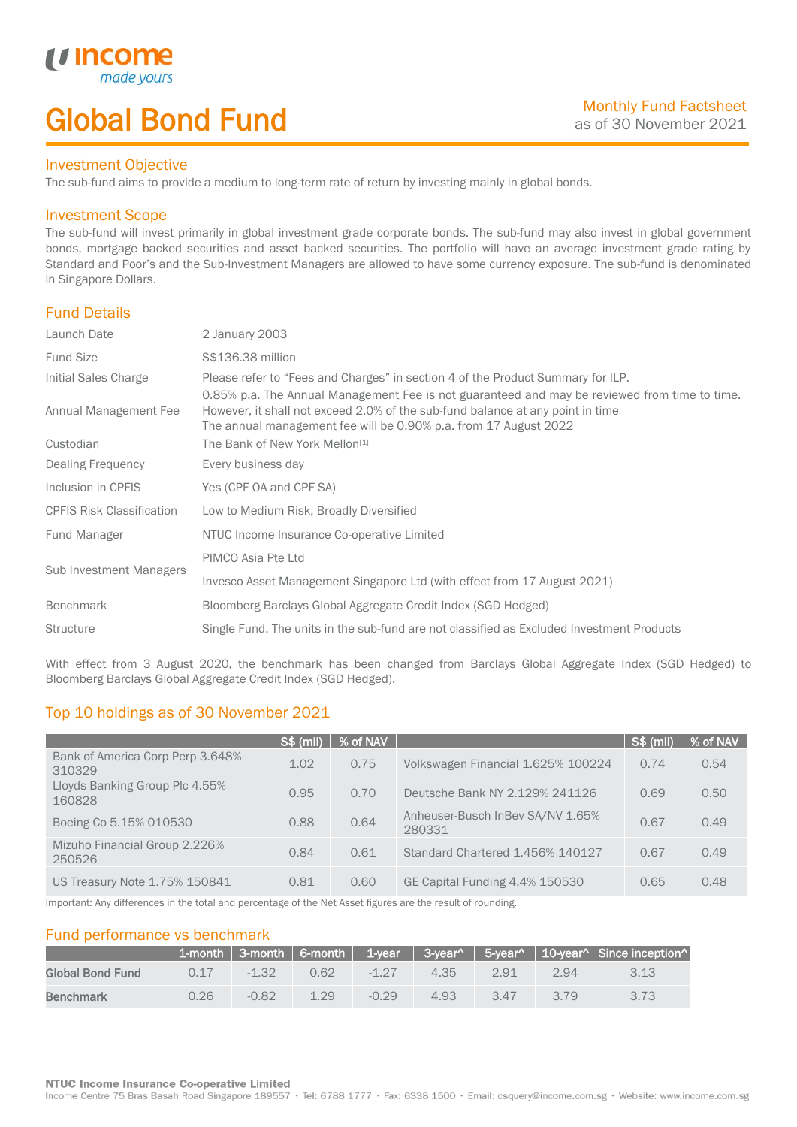# Global Bond Fund

### Investment Objective

made y

*u* incom

I

The sub-fund aims to provide a medium to long-term rate of return by investing mainly in global bonds.

### Investment Scope

The sub-fund will invest primarily in global investment grade corporate bonds. The sub-fund may also invest in global government bonds, mortgage backed securities and asset backed securities. The portfolio will have an average investment grade rating by Standard and Poor's and the Sub-Investment Managers are allowed to have some currency exposure. The sub-fund is denominated in Singapore Dollars.

## Fund Details

| Launch Date                      | 2 January 2003                                                                                                                                                                                                                                      |
|----------------------------------|-----------------------------------------------------------------------------------------------------------------------------------------------------------------------------------------------------------------------------------------------------|
| <b>Fund Size</b>                 | S\$136.38 million                                                                                                                                                                                                                                   |
| Initial Sales Charge             | Please refer to "Fees and Charges" in section 4 of the Product Summary for ILP.                                                                                                                                                                     |
| Annual Management Fee            | 0.85% p.a. The Annual Management Fee is not guaranteed and may be reviewed from time to time.<br>However, it shall not exceed 2.0% of the sub-fund balance at any point in time<br>The annual management fee will be 0.90% p.a. from 17 August 2022 |
| Custodian                        | The Bank of New York Mellon <sup>[1]</sup>                                                                                                                                                                                                          |
| Dealing Frequency                | Every business day                                                                                                                                                                                                                                  |
| Inclusion in CPFIS               | Yes (CPF OA and CPF SA)                                                                                                                                                                                                                             |
| <b>CPFIS Risk Classification</b> | Low to Medium Risk, Broadly Diversified                                                                                                                                                                                                             |
| Fund Manager                     | NTUC Income Insurance Co-operative Limited                                                                                                                                                                                                          |
| Sub Investment Managers          | PIMCO Asia Pte Ltd                                                                                                                                                                                                                                  |
|                                  | Invesco Asset Management Singapore Ltd (with effect from 17 August 2021)                                                                                                                                                                            |
| <b>Benchmark</b>                 | Bloomberg Barclays Global Aggregate Credit Index (SGD Hedged)                                                                                                                                                                                       |
| <b>Structure</b>                 | Single Fund. The units in the sub-fund are not classified as Excluded Investment Products                                                                                                                                                           |
|                                  |                                                                                                                                                                                                                                                     |

With effect from 3 August 2020, the benchmark has been changed from Barclays Global Aggregate Index (SGD Hedged) to Bloomberg Barclays Global Aggregate Credit Index (SGD Hedged).

## Top 10 holdings as of 30 November 2021

|                                            | S\$ (mil) | % of NAV |                                            | S\$ (mil) | % of NAV |
|--------------------------------------------|-----------|----------|--------------------------------------------|-----------|----------|
| Bank of America Corp Perp 3.648%<br>310329 | 1.02      | 0.75     | Volkswagen Financial 1.625% 100224         | 0.74      | 0.54     |
| Lloyds Banking Group Plc 4.55%<br>160828   | 0.95      | 0.70     | Deutsche Bank NY 2.129% 241126             | 0.69      | 0.50     |
| Boeing Co 5.15% 010530                     | 0.88      | 0.64     | Anheuser-Busch InBev SA/NV 1.65%<br>280331 | 0.67      | 0.49     |
| Mizuho Financial Group 2.226%<br>250526    | 0.84      | 0.61     | Standard Chartered 1.456% 140127           | 0.67      | 0.49     |
| US Treasury Note 1.75% 150841              | 0.81      | 0.60     | GE Capital Funding 4.4% 150530             | 0.65      | 0.48     |

Important: Any differences in the total and percentage of the Net Asset figures are the result of rounding.

## Fund performance vs benchmark

|                  |      |         |      |          |      |      |      | 1-month   3-month   6-month   1-year   3-year^   5-year^   10-year^   Since inception^ |
|------------------|------|---------|------|----------|------|------|------|----------------------------------------------------------------------------------------|
| Global Bond Fund | O 17 | $-1.32$ | 0.62 | $-1, 27$ | 4.35 | 2.91 | 2.94 |                                                                                        |
| <b>Benchmark</b> | 0.26 | $-0.82$ | 1.29 | $-0.29$  | 4.93 | 347  | 3.79 |                                                                                        |